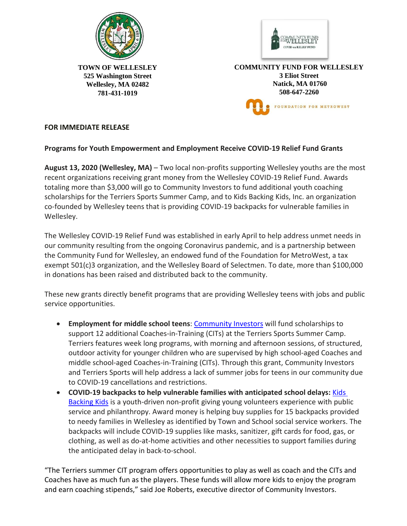



**TOWN OF WELLESLEY 525 Washington Street Wellesley, MA 02482 781-431-1019** 

**COMMUNITY FUND FOR WELLESLEY 3 Eliot Street Natick, MA 01760 508-647-2260** FOUNDATION FOR METROWEST

## **FOR IMMEDIATE RELEASE**

## **Programs for Youth Empowerment and Employment Receive COVID-19 Relief Fund Grants**

**August 13, 2020 (Wellesley, MA)** – Two local non-profits supporting Wellesley youths are the most recent organizations receiving grant money from the Wellesley COVID-19 Relief Fund. Awards totaling more than \$3,000 will go to Community Investors to fund additional youth coaching scholarships for the Terriers Sports Summer Camp, and to Kids Backing Kids, Inc. an organization co-founded by Wellesley teens that is providing COVID-19 backpacks for vulnerable families in Wellesley.

The Wellesley COVID-19 Relief Fund was established in early April to help address unmet needs in our community resulting from the ongoing Coronavirus pandemic, and is a partnership between the Community Fund for Wellesley, an endowed fund of the Foundation for MetroWest, a tax exempt 501(c)3 organization, and the Wellesley Board of Selectmen. To date, more than \$100,000 in donations has been raised and distributed back to the community.

These new grants directly benefit programs that are providing Wellesley teens with jobs and public service opportunities.

- **Employment for middle school teens**: [Community](https://communityinvestors.net/) Investors will fund scholarships to support 12 additional Coaches-in-Training (CITs) at the Terriers Sports Summer Camp. Terriers features week long programs, with morning and afternoon sessions, of structured, outdoor activity for younger children who are supervised by high school-aged Coaches and middle school-aged Coaches-in-Training (CITs). Through this grant, Community Investors and Terriers Sports will help address a lack of summer jobs for teens in our community due to COVID-19 cancellations and restrictions.
- **COVID-19 backpacks to help vulnerable families with anticipated school delays:** [Kids](https://www.kidsbackingkids.org/about_us) [Backing](https://www.kidsbackingkids.org/about_us) Kids is a youth-driven non-profit giving young volunteers experience with public service and philanthropy. Award money is helping buy supplies for 15 backpacks provided to needy families in Wellesley as identified by Town and School social service workers. The backpacks will include COVID-19 supplies like masks, sanitizer, gift cards for food, gas, or clothing, as well as do-at-home activities and other necessities to support families during the anticipated delay in back-to-school.

"The Terriers summer CIT program offers opportunities to play as well as coach and the CITs and Coaches have as much fun as the players. These funds will allow more kids to enjoy the program and earn coaching stipends," said Joe Roberts, executive director of Community Investors.